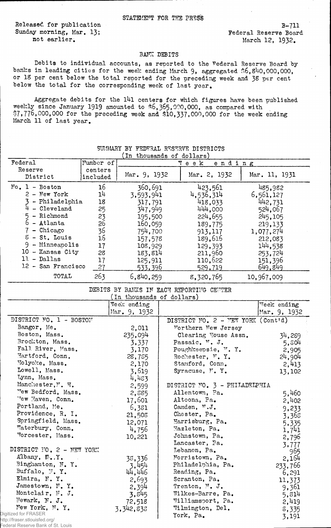Released for publication Sunday morning, Mar. 13; not earlier;

B-711 Federal Reserve Board March 12, 1932.

## BAFK DEBITS

Debits to individual accounts, as reported to the Federal Reserve Board by banks in leading cities for the week ending March 9, aggregated \$6,840,000,000, or 18 per cent below the total reported for the preceding week and 38 per cent below the total for the corresponding week of last year.

Aggregate debits for the l4l centers for which figures have been published weekly since January 1919 amounted to \$6,365,000,000, as compared with \$7,776,000,000 for the preceding week and \$10,337.000,000 for the week ending March 11 of last year.

|                     |                     | in thousands of dollars) |                   |               |
|---------------------|---------------------|--------------------------|-------------------|---------------|
| Federal             | Number of           |                          | V e e k<br>ending |               |
| Reserve<br>District | centers<br>included | Mar. $9, 1932$           | Mar. 2, 1932      | Mar. 11, 1931 |
| $No. 1 - Boston$    | 16                  | 360,691                  | 423,561           | 485,982       |
| $2 - New York$      | 14                  | 3,593,941                | 4,536,314         | 6,561,127     |
| - Philadelphia      | 18                  | 317,791                  | 418,033           | 442,731       |
| - Cleveland         | 25                  | 347,949                  | 444,000           | 524,067       |
| 5 - Richmond        | 23                  | 195,500                  | 224,655           | 245,105       |
| $6 -$ Atlanta       | 26                  | 160,059                  | 189,775           | 219,133       |
| - Chicago           | 36                  | 754,700                  | 913,117           | 1,077,274     |
| $8 - St.$ Louis     | 16                  | 157,578                  | 189,616           | 212,083       |
| $9 -$ Minneapolis   | 17                  | 108,929                  | 129,393           | 144,538       |
| 10 - Kansas City    | 28                  | 183,814                  | 211,960           | 253,724       |
| $11 - Dallas$       | 17                  | 125,911                  | 110,622           | 151,396       |
| 12 - San Francisco  | 27                  | 533,396                  | 529,719           | 649,849       |
| TOTAL               | 263                 | 6,840,259                | 8,320,765         | 10,967,009    |

## SUMMARY BY FEDERAL RESERVE DISTRICTS  $($ In thousands of dollars)

|  |  | DEBITS BY BANKS IN EACH REPORTING CENTER |  |
|--|--|------------------------------------------|--|
|  |  |                                          |  |
|  |  | (In thousands of dollars)                |  |

|                                                                    | $(11.$ ono assumes of abiliars, |                                    |              |
|--------------------------------------------------------------------|---------------------------------|------------------------------------|--------------|
|                                                                    | Week ending                     |                                    | Week ending  |
|                                                                    | Mar. 9, 1932                    |                                    | Mar. 9, 1932 |
| DISTRICT NO. 1 - BOSTON                                            |                                 | DISTRICT NO. 2 - NEW YORK (Cont'd) |              |
| Bangor, Me.                                                        | 2,011                           | Northern New Jersey                |              |
| Boston, Mass.                                                      | 235,094                         | Clearing Touse Assn.               | 34,289       |
| Brockton, Mass.                                                    | 3,337                           | Passaic, M. J.                     | 5,504        |
| Fall River, Mass.                                                  | 3,170                           | Poughkeepsie, N.Y.                 | 2,905        |
| Hartford, Conn.                                                    | 28,755                          | Rochester, M. Y.                   | 24,904       |
| Holyoke, Mass.                                                     | 2,170                           | Stamford, Conn.                    | 2,413        |
| Lowell, Mass.                                                      | 3,619                           | Syracuse, N.Y.                     | 13,102       |
| Lynn, Mass.                                                        | 4,483                           |                                    |              |
| Manchester, M. H.                                                  | 2,599                           | DISTRICT NO. 3 - PHILADELPHIA      |              |
| New Bedford, Mass.                                                 | 2,885                           | Allentown, Pa.                     | 5,460        |
| Vew Haven, Conn.                                                   | 17,601                          | Altoona, Pa.                       | 2,402        |
| Portland, Me.                                                      | 6,381                           | Camden, W.J.                       | 9,233        |
| Providence, R. I.                                                  | 21,508                          | Chester, Pa.                       | 3,368        |
| Springfield, Mass.                                                 | 12,071                          | Harrisburg, Pa.                    | 5,335        |
| Waterbury, Conn.                                                   | 4,756                           | Hazleton, Pa.                      | 1,741        |
| Morcester, Mass.                                                   | 10,221                          | Johnstown, Pa.                     | 2,796        |
|                                                                    |                                 | Lancaster, Pa.                     | 3,777        |
| DISTRICT NO. 2 - NEW YORK                                          |                                 | Lebanon, Pa.                       | 965          |
| Albany, N.Y.                                                       | 38,336                          | Morristown, Pa.                    | 2,164        |
| Binghamton, N.Y.                                                   | 3,454                           | Philadelphia, Pa.                  | 233,766      |
| Buffalo, J. Y.                                                     | 44,446                          | Reading, Pa.                       | 6,291        |
| Elmira, N.Y.                                                       | 2,693                           | Scranton, Pa.                      | 11,373       |
| Jamestown, N.Y.                                                    | 2,394                           | Trenton, N. J.                     | 9,361        |
| Montclair, M. J.                                                   | 3,845                           | Wilkes-Barre, Pa.                  | 5,814        |
| Newark, N. J.                                                      | 72,518                          | Williamsport, Pa.                  | 2,419        |
| New York, N.Y.                                                     | 3,342,838                       | Wilmington, Del.                   | 8,335        |
| Digitized for FRASER                                               |                                 | York, Pa.                          | 3,191        |
| http://fraser.stlouisfed.org/<br>Federal Reserve Bank of St. Louis |                                 |                                    |              |
|                                                                    |                                 |                                    |              |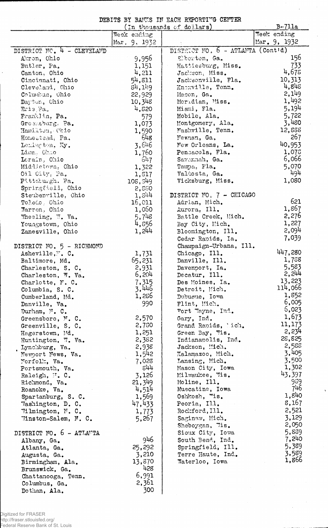DEBITS BY BANKS IN EACH REPORTIVG CENTER

|                            |              | www.communisty.com/states/state_out_t_out_tate<br>(In thousands of dollars) | $B-711a$       |
|----------------------------|--------------|-----------------------------------------------------------------------------|----------------|
|                            | Week ending  |                                                                             | Week ending    |
|                            | Mar. 9, 1932 |                                                                             | Mar. 9, 1932   |
| DISTRICT NO. 4 - CLEVELAND |              | DISTRICT NO. 6 - ATLANTA (Contid)                                           |                |
| Akron, Ohio                | 9,956        | Elberton, Ga.                                                               | 156            |
| Butler, Pa.                | 1,151        | Hattiesburg, Miss.                                                          | 733            |
| Canton, Ohio               | 4,211        | Jackson, Miss.                                                              | 4,675          |
| Cincinnati, Ohio           | 54,811       | Jacksonville, Fla.                                                          | 10,313         |
| Cleveland, Ohio            | 84,149       | Knoxville, Tenn.                                                            | 4,845          |
| Columbus, Ohio             | 22,929       | Macon, Ga.                                                                  | 2,149          |
| Dayton, Ohio               | 10,348       | Meridian, Miss.                                                             | 1,492          |
| Eris Pa.                   | 4,820        | Miami, Fla.                                                                 | 5,194          |
| Franklin, Pa.              | 579          | Mobile, Ala.                                                                | 5,722          |
| Greensburg, Pa.            | 1,073        | Montgomery, Ala.                                                            | 3,480          |
| Hamilton, Ohio             | 1,590        | Mashville, Tenn.                                                            | 12,888         |
| Homestead, Pa.             | 648          | Newnan, Ga,                                                                 | 267            |
| Lemington, Ky.             | 3,646        | New Orleans, La.                                                            | 40,953         |
| Lima, Oh.o                 | 1,760        | Pensacola, Fla.                                                             | 1,075          |
| Lorain, Ohio               | 647          | Savannah, Ga.                                                               | 6,066          |
| Middletown, Ohio           | 1,322        | Tampa, Fla.                                                                 | 5,070          |
| Oil City, Pa.              | 1,817        | Valdosta, Ga.                                                               | 494            |
| Pittsturgh. Pa.            | 105, 549     | Vicksburg, Miss.                                                            | 1,080          |
| Springfield, Ohio          | 2,860        |                                                                             |                |
| Steubenville, Ohio         | 1,844        | DISTRICT NO. 7 - CHICAGO                                                    |                |
| Toledo, Ohio               | 16,011       | Adrian, Mich.                                                               | 621            |
| Marren, Ohio               | 1,060        | Aurora, Ill.                                                                | 1,867          |
| Wheeling, W. Va.           | 5,748        | Battle Creek, Mich.                                                         | 2,276          |
| Youngstown, Ohio           | 4,856        | Bay City, Mich.                                                             | 1,227          |
| Zanesville, Ohio           | 1,244        | Bloomington, Ill.                                                           | 2,094          |
|                            |              | Cedar Raoids, Ia.                                                           | 7,039          |
| DISTRICT NO. 5 - RICHMOND  |              | Champaign-Urbana, Ill.                                                      |                |
| Asheville, T. C.           | 1,731        | Chicago, Ill.                                                               | 447,280        |
| Baltimore, Md.             | 55,231       | Danville, Ill.                                                              | 1,758          |
| Charleston, S. C.          | 2,931        | Davenport, Ia.                                                              | 5,583          |
| Charleston, W. Va.         | 6,204        | Decatur, Ill.                                                               | 2,244          |
| Charlotte, N.C.            | 7,315        | Des Moines, Ia.                                                             | 13,223         |
| Columbia, S. C.            | 3,446        | Detroit, Mich.                                                              | 114,066        |
| Cumberland, Md.            | 1,286        | Dubucue, Iowa                                                               | 1,852          |
| Danville, Va.              | 990          | Flint, Mich.                                                                | 6,005          |
| Durham, $\mathbb{N}$ . C.  |              | Fort Tayne, Ind.                                                            | 6,023          |
| Greensboro, N.C.           | 2,570        | Gary, Ind.                                                                  | 1,673          |
| Greenville, S. C.          | 2,750        | Grand Rapids, lich.                                                         | 11,173         |
| Hagerstown, Md.            | 1,251        | Green Bay, Wis.                                                             | 2,234          |
| Huntington, W. Va.         | 2,382        | Indianapolis, Ind.                                                          | 28,825         |
| . Lynchburg, Va.           | 2,938        | Jackson, Mich.                                                              | 2,588          |
| Newport News, Va.          | 1,542        | Kalamazoo, Mich.                                                            | 3,405          |
| Norfolk, Va.               | 7,023        | Lansing, Mich.                                                              | 3,500          |
| Portsmouth, Va.            | 844          | Mason City, Iowa                                                            | 1,302          |
| Raleigh, F. C.             | 3,126        | Milwaukee, Wis.                                                             | 43,397         |
| Richmond, Va.              | 21,349       | Moline, Ill.                                                                | 939            |
| Roanoke, Va.               | 4,514        | Muscatine, Iowa                                                             | 746            |
| Spartanburg, S. C.         | 1,569        | Oshkosh, "is.                                                               | 1,840          |
| Washington, D. C.          | 47,433       | Peoria, Ill.                                                                | 8,167          |
| Vilmington, N.C.           | 1,773        | Rockford, Ill.                                                              | 2,521          |
| Winston-Salem, N. C.       | 5,267        | Saginaw, Mich.                                                              | 3,129          |
|                            |              | Sheboygan, 7is.                                                             | 2,050          |
| DISTRICT NO. 6 - ATLANTA   |              | Sioux City, Iowa                                                            | 5,839          |
| Albany, Ga.                | 946          | South Bend, Ind.                                                            | 7,240          |
| Atlanta, Ga.               | 25,292       | Springfield, Ill.                                                           | 5,389          |
| Augusta, Ga.               | 3,210        | Terre Haute, Ind.                                                           | 3,589<br>1,866 |
| Birmingham, Ala.           | 13,870       | Waterloo, Iowa                                                              |                |
| Brunswick, Ga.             | 428          |                                                                             |                |
| Chattanooga, Tenn.         | 6,991        |                                                                             |                |
| Columbus, Ga.              | 2,361        |                                                                             |                |
| Dothan, Ala.               | 300          |                                                                             |                |

 $\hat{\mathbf{v}}$